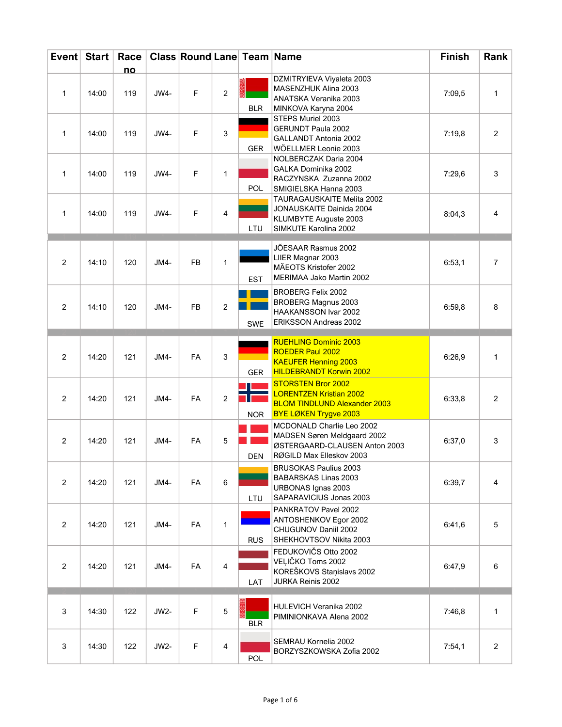| Event Start    |       | Race |        | <b>Class Round Lane Team Name</b> |                |            |                                                                                                                                    | <b>Finish</b> | Rank           |
|----------------|-------|------|--------|-----------------------------------|----------------|------------|------------------------------------------------------------------------------------------------------------------------------------|---------------|----------------|
|                |       | no   |        |                                   |                |            |                                                                                                                                    |               |                |
| $\mathbf{1}$   | 14:00 | 119  | JW4-   | F                                 | $\overline{2}$ | <b>BLR</b> | DZMITRYIEVA Viyaleta 2003<br>MASENZHUK Alina 2003<br>ANATSKA Veranika 2003<br>MINKOVA Karyna 2004                                  | 7:09,5        | 1              |
| $\mathbf{1}$   | 14:00 | 119  | JW4-   | F                                 | 3              | <b>GER</b> | STEPS Muriel 2003<br><b>GERUNDT Paula 2002</b><br><b>GALLANDT Antonia 2002</b><br>WÖELLMER Leonie 2003                             | 7:19,8        | 2              |
| $\mathbf{1}$   | 14:00 | 119  | JW4-   | F                                 | $\mathbf{1}$   | <b>POL</b> | NOLBERCZAK Daria 2004<br>GALKA Dominika 2002<br>RACZYNSKA Zuzanna 2002<br>SMIGIELSKA Hanna 2003                                    | 7:29,6        | 3              |
| $\mathbf{1}$   | 14:00 | 119  | JW4-   | F                                 | 4              | LTU        | TAURAGAUSKAITE Melita 2002<br>JONAUSKAITE Dainida 2004<br>KLUMBYTE Auguste 2003<br>SIMKUTE Karolina 2002                           | 8:04,3        | 4              |
| $\overline{2}$ | 14:10 | 120  | $JMA-$ | <b>FB</b>                         | $\mathbf{1}$   | <b>EST</b> | JÕESAAR Rasmus 2002<br>LIIER Magnar 2003<br>MÄEOTS Kristofer 2002<br>MERIMAA Jako Martin 2002                                      | 6:53,1        | $\overline{7}$ |
| 2              | 14:10 | 120  | JM4-   | <b>FB</b>                         | $\overline{c}$ | <b>SWE</b> | <b>BROBERG Felix 2002</b><br><b>BROBERG Magnus 2003</b><br>HAAKANSSON Ivar 2002<br>ERIKSSON Andreas 2002                           | 6:59,8        | 8              |
| 2              | 14:20 | 121  | JM4-   | FA                                | 3              | <b>GER</b> | <b>RUEHLING Dominic 2003</b><br><b>ROEDER Paul 2002</b><br><b>KAEUFER Henning 2003</b><br><b>HILDEBRANDT Korwin 2002</b>           | 6:26,9        | 1              |
| $\overline{c}$ | 14:20 | 121  | JM4-   | FA                                | $\overline{2}$ | <b>NOR</b> | <b>STORSTEN Bror 2002</b><br><b>LORENTZEN Kristian 2002</b><br><b>BLOM TINDLUND Alexander 2003</b><br><b>BYE LØKEN Trygve 2003</b> | 6:33,8        | $\overline{2}$ |
| $\overline{c}$ | 14:20 | 121  | JM4-   | FA                                | 5              | <b>DEN</b> | MCDONALD Charlie Leo 2002<br>MADSEN Søren Meldgaard 2002<br>ØSTERGAARD-CLAUSEN Anton 2003<br>RØGILD Max Elleskov 2003              | 6:37,0        | 3              |
| $\overline{2}$ | 14:20 | 121  | JM4-   | FA                                | 6              | LTU        | <b>BRUSOKAS Paulius 2003</b><br><b>BABARSKAS Linas 2003</b><br>URBONAS Ignas 2003<br>SAPARAVICIUS Jonas 2003                       | 6:39,7        | 4              |
| $\overline{2}$ | 14:20 | 121  | JM4-   | FA                                | 1              | <b>RUS</b> | PANKRATOV Pavel 2002<br>ANTOSHENKOV Egor 2002<br>CHUGUNOV Daniil 2002<br>SHEKHOVTSOV Nikita 2003                                   | 6:41,6        | 5              |
| $\overline{2}$ | 14:20 | 121  | JM4-   | FA                                | 4              | LAT        | FEDUKOVIČS Otto 2002<br>VEĻIČKO Toms 2002<br>KOREŠKOVS Staņislavs 2002<br>JURKA Reinis 2002                                        | 6:47,9        | 6              |
| 3              | 14:30 | 122  | JW2-   | F                                 | 5              | <b>BLR</b> | HULEVICH Veranika 2002<br>PIMINIONKAVA Alena 2002                                                                                  | 7:46,8        | 1              |
| 3              | 14:30 | 122  | JW2-   | F                                 | 4              | POL        | SEMRAU Kornelia 2002<br>BORZYSZKOWSKA Zofia 2002                                                                                   | 7:54,1        | $\overline{c}$ |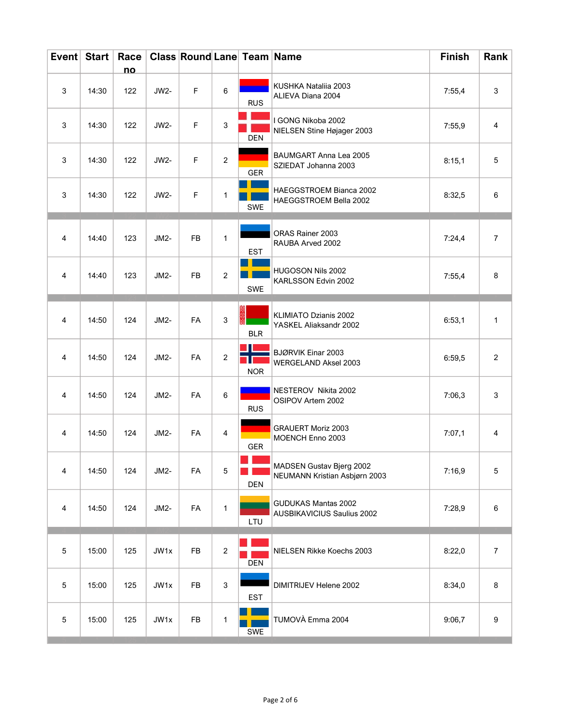| Event Start |       | Race<br>no |        | <b>Class Round Lane Team Name</b> |                           |            |                                                           | <b>Finish</b> | Rank           |
|-------------|-------|------------|--------|-----------------------------------|---------------------------|------------|-----------------------------------------------------------|---------------|----------------|
| 3           | 14:30 | 122        | JW2-   | F                                 | 6                         | <b>RUS</b> | KUSHKA Nataliia 2003<br>ALIEVA Diana 2004                 | 7:55,4        | 3              |
| 3           | 14:30 | 122        | JW2-   | F                                 | 3                         | <b>DEN</b> | I GONG Nikoba 2002<br>NIELSEN Stine Højager 2003          | 7:55,9        | 4              |
| 3           | 14:30 | 122        | JW2-   | F                                 | $\overline{2}$            | GER        | BAUMGART Anna Lea 2005<br>SZIEDAT Johanna 2003            | 8:15,1        | 5              |
| 3           | 14:30 | 122        | JW2-   | F                                 | 1                         | <b>SWE</b> | HAEGGSTROEM Bianca 2002<br>HAEGGSTROEM Bella 2002         | 8:32,5        | 6              |
| 4           | 14:40 | 123        | JM2-   | <b>FB</b>                         | 1                         | <b>EST</b> | ORAS Rainer 2003<br>RAUBA Arved 2002                      | 7:24,4        | $\overline{7}$ |
| 4           | 14:40 | 123        | JM2-   | FB                                | $\overline{2}$            | SWE        | HUGOSON Nils 2002<br>KARLSSON Edvin 2002                  | 7:55,4        | 8              |
| 4           | 14:50 | 124        | JM2-   | FA                                | $\sqrt{3}$                | <b>BLR</b> | KLIMIATO Dzianis 2002<br>YASKEL Aliaksandr 2002           | 6:53,1        | $\mathbf{1}$   |
| 4           | 14:50 | 124        | JM2-   | FA                                | $\overline{2}$            | <b>NOR</b> | BJØRVIK Einar 2003<br>WERGELAND Aksel 2003                | 6:59,5        | $\overline{2}$ |
| 4           | 14:50 | 124        | $JM2-$ | FA                                | 6                         | <b>RUS</b> | NESTEROV Nikita 2002<br>OSIPOV Artem 2002                 | 7:06,3        | 3              |
| 4           | 14:50 | 124        | JM2-   | FA                                | 4                         | GER        | <b>GRAUERT Moriz 2003</b><br>MOENCH Enno 2003             | 7:07,1        | 4              |
| 4           | 14:50 | 124        | JM2-   | FA                                | $\mathbf 5$               | <b>DEN</b> | MADSEN Gustav Bjerg 2002<br>NEUMANN Kristian Asbjørn 2003 | 7:16,9        | 5              |
| 4           | 14:50 | 124        | JM2-   | FA                                | $\mathbf{1}$              | LTU        | GUDUKAS Mantas 2002<br><b>AUSBIKAVICIUS Saulius 2002</b>  | 7:28,9        | 6              |
| $\mathbf 5$ | 15:00 | 125        | JW1x   | FB                                | $\overline{2}$            | DEN        | NIELSEN Rikke Koechs 2003                                 | 8:22,0        | $\overline{7}$ |
| $\mathbf 5$ | 15:00 | 125        | JW1x   | FB                                | $\ensuremath{\mathsf{3}}$ | <b>EST</b> | DIMITRIJEV Helene 2002                                    | 8:34,0        | 8              |
| $\,$ 5 $\,$ | 15:00 | 125        | JW1x   | ${\sf FB}$                        | $\mathbf{1}$              | SWE        | TUMOVÀ Emma 2004                                          | 9:06,7        | 9              |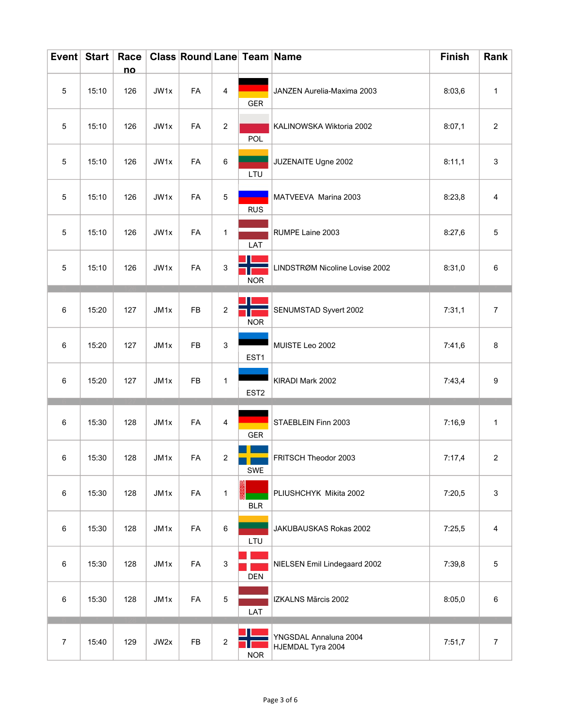| Event Start    |       | Race      |      | <b>Class Round Lane Team Name</b> |                           |                  |                                            | <b>Finish</b> | Rank             |
|----------------|-------|-----------|------|-----------------------------------|---------------------------|------------------|--------------------------------------------|---------------|------------------|
| $\mathbf 5$    | 15:10 | no<br>126 | JW1x | FA                                | 4                         | GER              | JANZEN Aurelia-Maxima 2003                 | 8:03,6        | 1                |
| 5              | 15:10 | 126       | JW1x | FA                                | $\boldsymbol{2}$          | <b>POL</b>       | KALINOWSKA Wiktoria 2002                   | 8:07,1        | $\overline{2}$   |
| $\sqrt{5}$     | 15:10 | 126       | JW1x | FA                                | 6                         | LTU              | JUZENAITE Ugne 2002                        | 8:11,1        | 3                |
| $\mathbf 5$    | 15:10 | 126       | JW1x | FA                                | 5                         | <b>RUS</b>       | MATVEEVA Marina 2003                       | 8:23,8        | 4                |
| $\mathbf 5$    | 15:10 | 126       | JW1x | FA                                | 1                         | LAT              | RUMPE Laine 2003                           | 8:27,6        | 5                |
| 5              | 15:10 | 126       | JW1x | FA                                | 3                         | <b>NOR</b>       | LINDSTRØM Nicoline Lovise 2002             | 8:31,0        | $\,6\,$          |
| 6              | 15:20 | 127       | JM1x | FB                                | $\boldsymbol{2}$          | <b>NOR</b>       | SENUMSTAD Syvert 2002                      | 7:31,1        | $\boldsymbol{7}$ |
| 6              | 15:20 | 127       | JM1x | FB                                | 3                         | EST1             | MUISTE Leo 2002                            | 7:41,6        | 8                |
| 6              | 15:20 | 127       | JM1x | FB                                | $\mathbf{1}$              | EST <sub>2</sub> | KIRADI Mark 2002                           | 7:43,4        | 9                |
| $\,6\,$        | 15:30 | 128       | JM1x | FA                                | 4                         | GER              | STAEBLEIN Finn 2003                        | 7:16,9        | 1                |
| 6              | 15:30 | 128       | JM1x | FA                                | $\overline{2}$            | SWE              | FRITSCH Theodor 2003                       | 7:17,4        | $\overline{2}$   |
| $\,6\,$        | 15:30 | 128       | JM1x | FA                                | $\mathbf{1}$              | <b>BLR</b>       | PLIUSHCHYK Mikita 2002                     | 7:20,5        | 3                |
| 6              | 15:30 | 128       | JM1x | FA                                | 6                         | LTU              | JAKUBAUSKAS Rokas 2002                     | 7:25,5        | 4                |
| $\,6\,$        | 15:30 | 128       | JM1x | FA                                | $\ensuremath{\mathsf{3}}$ | <b>DEN</b>       | NIELSEN Emil Lindegaard 2002               | 7:39,8        | 5                |
| $\,6\,$        | 15:30 | 128       | JM1x | FA                                | $\mathbf 5$               | LAT              | IZKALNS Mārcis 2002                        | 8:05,0        | 6                |
| $\overline{7}$ | 15:40 | 129       | JW2x | FB                                | $\boldsymbol{2}$          | <b>NOR</b>       | YNGSDAL Annaluna 2004<br>HJEMDAL Tyra 2004 | 7:51,7        | $\boldsymbol{7}$ |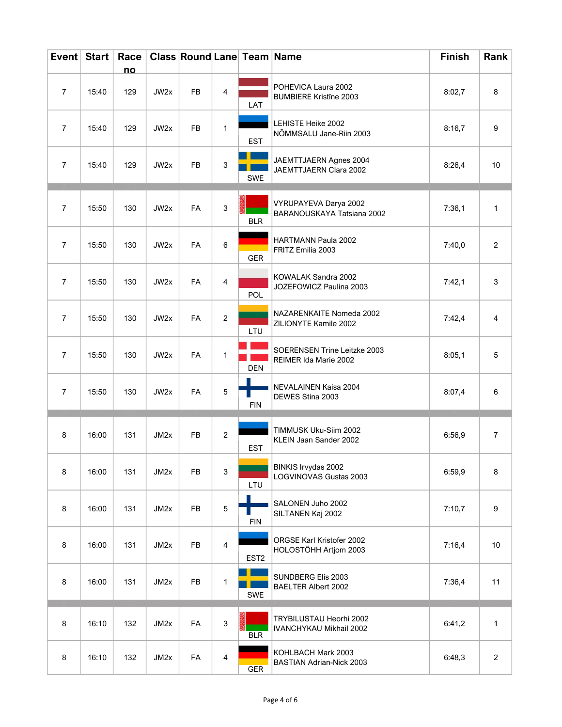|                | Event Start | Race      |      | <b>Class Round Lane Team Name</b> |                |                  |                                                           | <b>Finish</b> | Rank           |
|----------------|-------------|-----------|------|-----------------------------------|----------------|------------------|-----------------------------------------------------------|---------------|----------------|
| $\overline{7}$ | 15:40       | no<br>129 | JW2x | FB                                | $\overline{4}$ | LAT              | POHEVICA Laura 2002<br><b>BUMBIERE Kristine 2003</b>      | 8:02,7        | 8              |
| $\overline{7}$ | 15:40       | 129       | JW2x | <b>FB</b>                         | 1              | <b>EST</b>       | LEHISTE Heike 2002<br>NÕMMSALU Jane-Riin 2003             | 8:16,7        | 9              |
| $\overline{7}$ | 15:40       | 129       | JW2x | FB                                | 3              | SWE              | JAEMTTJAERN Agnes 2004<br>JAEMTTJAERN Clara 2002          | 8:26,4        | 10             |
| $\overline{7}$ | 15:50       | 130       | JW2x | FA                                | $\mathbf{3}$   | <b>BLR</b>       | VYRUPAYEVA Darya 2002<br>BARANOUSKAYA Tatsiana 2002       | 7:36,1        | 1              |
| $\overline{7}$ | 15:50       | 130       | JW2x | FA                                | 6              | GER              | <b>HARTMANN Paula 2002</b><br>FRITZ Emilia 2003           | 7:40,0        | 2              |
| $\overline{7}$ | 15:50       | 130       | JW2x | FA                                | $\overline{4}$ | POL              | KOWALAK Sandra 2002<br>JOZEFOWICZ Paulina 2003            | 7:42,1        | 3              |
| $\overline{7}$ | 15:50       | 130       | JW2x | FA                                | 2              | LTU              | NAZARENKAITE Nomeda 2002<br>ZILIONYTE Kamile 2002         | 7:42,4        | $\overline{4}$ |
| $\overline{7}$ | 15:50       | 130       | JW2x | FA                                | 1              | <b>DEN</b>       | SOERENSEN Trine Leitzke 2003<br>REIMER Ida Marie 2002     | 8:05,1        | 5              |
| $\overline{7}$ | 15:50       | 130       | JW2x | FA                                | 5              | <b>FIN</b>       | NEVALAINEN Kaisa 2004<br>DEWES Stina 2003                 | 8:07,4        | 6              |
| 8              | 16:00       | 131       | JM2x | FB                                | $\overline{2}$ | <b>EST</b>       | TIMMUSK Uku-Siim 2002<br>KLEIN Jaan Sander 2002           | 6:56,9        | $\overline{7}$ |
| 8              | 16:00       | 131       | JM2x | FB                                | 3              | LTU              | BINKIS Irvydas 2002<br>LOGVINOVAS Gustas 2003             | 6:59,9        | 8              |
| 8              | 16:00       | 131       | JM2x | <b>FB</b>                         | $\mathbf 5$    | <b>FIN</b>       | SALONEN Juho 2002<br>SILTANEN Kaj 2002                    | 7:10,7        | 9              |
| 8              | 16:00       | 131       | JM2x | FB                                | 4              | EST <sub>2</sub> | ORGSE Karl Kristofer 2002<br>HOLOSTÕHH Artjom 2003        | 7:16,4        | $10$           |
| 8              | 16:00       | 131       | JM2x | FB                                | 1              | SWE              | SUNDBERG Elis 2003<br><b>BAELTER Albert 2002</b>          | 7:36,4        | 11             |
| 8              | 16:10       | 132       | JM2x | FA                                | $\sqrt{3}$     | <b>BLR</b>       | TRYBILUSTAU Heorhi 2002<br><b>IVANCHYKAU Mikhail 2002</b> | 6:41,2        | 1              |
| 8              | 16:10       | 132       | JM2x | FA                                | 4              | <b>GER</b>       | KOHLBACH Mark 2003<br><b>BASTIAN Adrian-Nick 2003</b>     | 6:48,3        | $\overline{c}$ |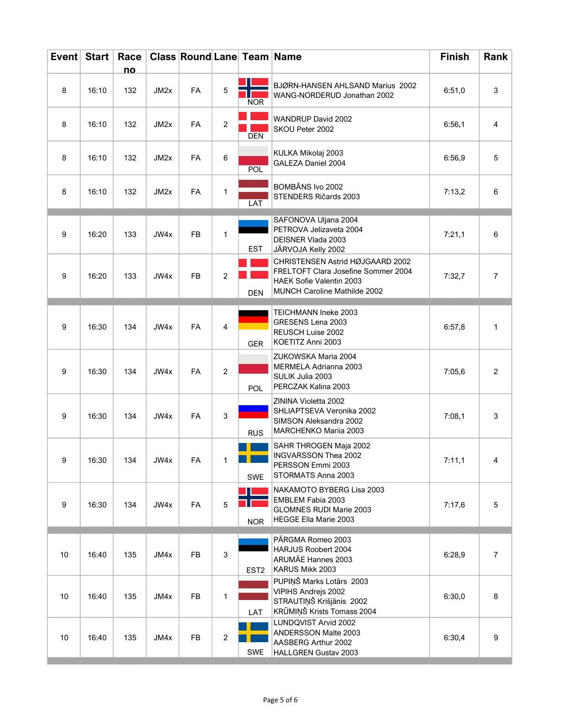|                  | Event Start | Race<br>no |      | <b>Class Round Lane Team Name</b> |                |                  |                                                                                                                                                   | <b>Finish</b> | Rank           |
|------------------|-------------|------------|------|-----------------------------------|----------------|------------------|---------------------------------------------------------------------------------------------------------------------------------------------------|---------------|----------------|
| 8                | 16:10       | 132        | JM2x | <b>FA</b>                         | 5              | <b>NOR</b>       | BJØRN-HANSEN AHLSAND Marius 2002<br>WANG-NORDERUD Jonathan 2002                                                                                   | 6:51,0        | 3              |
| 8                | 16:10       | 132        | JM2x | FA                                | $\overline{2}$ | DEN              | WANDRUP David 2002<br>SKOU Peter 2002                                                                                                             | 6:56,1        | 4              |
| 8                | 16:10       | 132        | JM2x | FA                                | 6              | POL              | KULKA Mikolaj 2003<br>GALEZA Daniel 2004                                                                                                          | 6:56,9        | 5              |
| 8                | 16:10       | 132        | JM2x | FA                                | $\mathbf{1}$   | LAT              | BOMBĀNS Ivo 2002<br>STENDERS Ričards 2003                                                                                                         | 7:13,2        | 6              |
| $\boldsymbol{9}$ | 16:20       | 133        | JW4x | FB                                | $\mathbf{1}$   | <b>EST</b>       | SAFONOVA Uljana 2004<br>PETROVA Jelizaveta 2004<br><b>DEISNER Vlada 2003</b><br>JÄRVOJA Kelly 2002                                                | 7:21,1        | 6              |
| 9                | 16:20       | 133        | JW4x | FB                                | $\overline{2}$ | <b>DEN</b>       | CHRISTENSEN Astrid HØJGAARD 2002<br>FRELTOFT Clara Josefine Sommer 2004<br><b>HAEK Sofie Valentin 2003</b><br><b>MUNCH Caroline Mathilde 2002</b> | 7:32,7        | $\overline{7}$ |
| 9                | 16:30       | 134        | JW4x | FA                                | 4              | <b>GER</b>       | TEICHMANN Ineke 2003<br>GRESENS Lena 2003<br>REUSCH Luise 2002<br>KOETITZ Anni 2003                                                               | 6:57,8        | 1              |
| 9                | 16:30       | 134        | JW4x | <b>FA</b>                         | $\overline{2}$ | <b>POL</b>       | ZUKOWSKA Maria 2004<br>MERMELA Adrianna 2003<br>SULIK Julia 2003<br>PERCZAK Kalina 2003                                                           | 7:05,6        | $\overline{2}$ |
| 9                | 16:30       | 134        | JW4x | <b>FA</b>                         | 3              | <b>RUS</b>       | ZININA Violetta 2002<br>SHLIAPTSEVA Veronika 2002<br>SIMSON Aleksandra 2002<br>MARCHENKO Mariia 2003                                              | 7:08,1        | 3              |
| 9                | 16:30       | 134        | JW4x | FA                                |                | <b>SWE</b>       | SAHR THROGEN Maja 2002<br>INGVARSSON Thea 2002<br>PERSSON Emmi 2003<br>STORMATS Anna 2003                                                         | 7:11,1        | 4              |
| $9\,$            | 16:30       | 134        | JW4x | FA                                | $\overline{5}$ | <b>NOR</b>       | NAKAMOTO BYBERG Lisa 2003<br>EMBLEM Fabia 2003<br><b>GLOMNES RUDI Marie 2003</b><br><b>HEGGE Ella Marie 2003</b>                                  | 7:17,6        | 5              |
| 10               | 16:40       | 135        | JM4x | FB                                | $\mathbf{3}$   | EST <sub>2</sub> | PÄRGMA Romeo 2003<br>HARJUS Roobert 2004<br>ARUMÄE Hannes 2003<br>KARUS Mikk 2003                                                                 | 6:28,9        | $\overline{7}$ |
| 10               | 16:40       | 135        | JM4x | <b>FB</b>                         | $\mathbf{1}$   | LAT              | PUPIŅŠ Marks Lotārs 2003<br>VIPIHS Andrejs 2002<br>STRAUTIŅŠ Krišjānis 2002<br>KRŪMIŅŠ Krists Tomass 2004                                         | 6:30,0        | 8              |
| 10               | 16:40       | 135        | JM4x | FB                                | $\overline{c}$ | SWE              | LUNDQVIST Arvid 2002<br>ANDERSSON Malte 2003<br>AASBERG Arthur 2002<br>HALLGREN Gustav 2003                                                       | 6:30,4        | 9              |